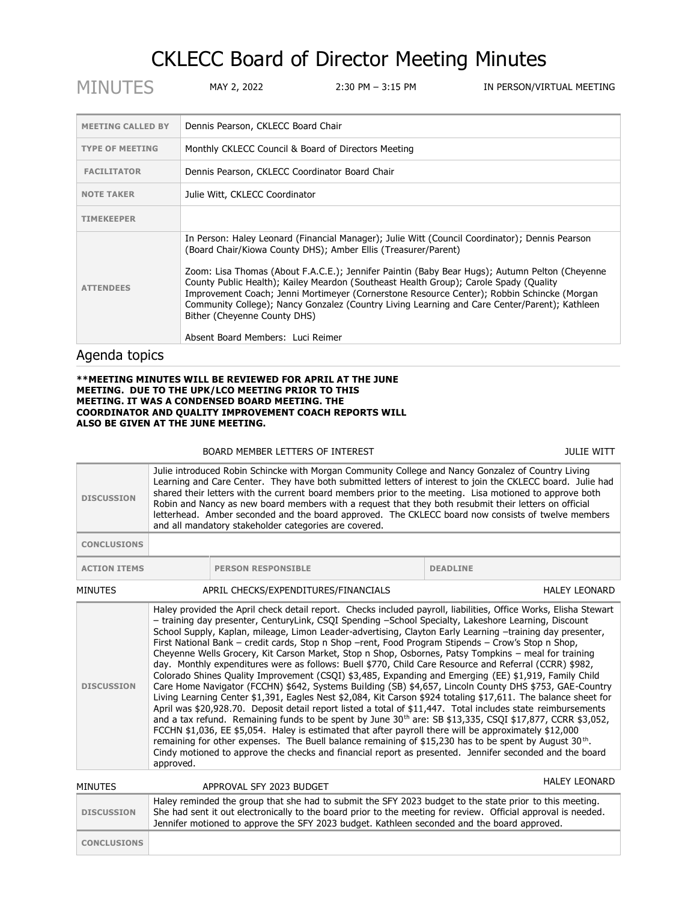## CKLECC Board of Director Meeting Minutes

| <b>MINUTES</b>            | MAY 2, 2022                                                                                                                                                                                                                                                                                                                                                                                                                                                                                                                                                                                                                     | 2:30 PM – 3:15 PM | IN PERSON/VIRTUAL MEETING |  |
|---------------------------|---------------------------------------------------------------------------------------------------------------------------------------------------------------------------------------------------------------------------------------------------------------------------------------------------------------------------------------------------------------------------------------------------------------------------------------------------------------------------------------------------------------------------------------------------------------------------------------------------------------------------------|-------------------|---------------------------|--|
|                           |                                                                                                                                                                                                                                                                                                                                                                                                                                                                                                                                                                                                                                 |                   |                           |  |
| <b>MEETING CALLED BY</b>  | Dennis Pearson, CKLECC Board Chair                                                                                                                                                                                                                                                                                                                                                                                                                                                                                                                                                                                              |                   |                           |  |
| <b>TYPE OF MEETING</b>    | Monthly CKLECC Council & Board of Directors Meeting                                                                                                                                                                                                                                                                                                                                                                                                                                                                                                                                                                             |                   |                           |  |
| <b>FACILITATOR</b>        | Dennis Pearson, CKLECC Coordinator Board Chair                                                                                                                                                                                                                                                                                                                                                                                                                                                                                                                                                                                  |                   |                           |  |
| <b>NOTE TAKER</b>         | Julie Witt, CKLECC Coordinator                                                                                                                                                                                                                                                                                                                                                                                                                                                                                                                                                                                                  |                   |                           |  |
| <b>TIMEKEEPER</b>         |                                                                                                                                                                                                                                                                                                                                                                                                                                                                                                                                                                                                                                 |                   |                           |  |
| <b>ATTENDEES</b>          | In Person: Haley Leonard (Financial Manager); Julie Witt (Council Coordinator); Dennis Pearson<br>(Board Chair/Kiowa County DHS); Amber Ellis (Treasurer/Parent)<br>Zoom: Lisa Thomas (About F.A.C.E.); Jennifer Paintin (Baby Bear Hugs); Autumn Pelton (Cheyenne<br>County Public Health); Kailey Meardon (Southeast Health Group); Carole Spady (Quality<br>Improvement Coach; Jenni Mortimeyer (Cornerstone Resource Center); Robbin Schincke (Morgan<br>Community College); Nancy Gonzalez (Country Living Learning and Care Center/Parent); Kathleen<br>Bither (Cheyenne County DHS)<br>Absent Board Members: Luci Reimer |                   |                           |  |
| والمستقل المسامر ومراجعات |                                                                                                                                                                                                                                                                                                                                                                                                                                                                                                                                                                                                                                 |                   |                           |  |

Agenda topics

## **\*\*MEETING MINUTES WILL BE REVIEWED FOR APRIL AT THE JUNE MEETING. DUE TO THE UPK/LCO MEETING PRIOR TO THIS MEETING. IT WAS A CONDENSED BOARD MEETING. THE COORDINATOR AND QUALITY IMPROVEMENT COACH REPORTS WILL ALSO BE GIVEN AT THE JUNE MEETING.**

## BOARD MEMBER LETTERS OF INTEREST **A CONSIDER A SET AND A CONSIDER A CONSIDER A** JULIE WITT

| <b>DISCUSSION</b>   | Julie introduced Robin Schincke with Morgan Community College and Nancy Gonzalez of Country Living<br>Learning and Care Center. They have both submitted letters of interest to join the CKLECC board. Julie had<br>shared their letters with the current board members prior to the meeting. Lisa motioned to approve both<br>Robin and Nancy as new board members with a request that they both resubmit their letters on official<br>letterhead. Amber seconded and the board approved. The CKLECC board now consists of twelve members<br>and all mandatory stakeholder categories are covered.                                                                                                                                                                                                                                                                                                                                                                                                                                                                                                                                                                                                                                                                                                                                                                                                                                                                                                                                                                                                                                         |                           |                      |
|---------------------|---------------------------------------------------------------------------------------------------------------------------------------------------------------------------------------------------------------------------------------------------------------------------------------------------------------------------------------------------------------------------------------------------------------------------------------------------------------------------------------------------------------------------------------------------------------------------------------------------------------------------------------------------------------------------------------------------------------------------------------------------------------------------------------------------------------------------------------------------------------------------------------------------------------------------------------------------------------------------------------------------------------------------------------------------------------------------------------------------------------------------------------------------------------------------------------------------------------------------------------------------------------------------------------------------------------------------------------------------------------------------------------------------------------------------------------------------------------------------------------------------------------------------------------------------------------------------------------------------------------------------------------------|---------------------------|----------------------|
| <b>CONCLUSIONS</b>  |                                                                                                                                                                                                                                                                                                                                                                                                                                                                                                                                                                                                                                                                                                                                                                                                                                                                                                                                                                                                                                                                                                                                                                                                                                                                                                                                                                                                                                                                                                                                                                                                                                             |                           |                      |
| <b>ACTION ITEMS</b> |                                                                                                                                                                                                                                                                                                                                                                                                                                                                                                                                                                                                                                                                                                                                                                                                                                                                                                                                                                                                                                                                                                                                                                                                                                                                                                                                                                                                                                                                                                                                                                                                                                             | <b>PERSON RESPONSIBLE</b> | <b>DEADLINE</b>      |
| <b>MINUTES</b>      |                                                                                                                                                                                                                                                                                                                                                                                                                                                                                                                                                                                                                                                                                                                                                                                                                                                                                                                                                                                                                                                                                                                                                                                                                                                                                                                                                                                                                                                                                                                                                                                                                                             |                           | <b>HALEY LEONARD</b> |
| <b>DISCUSSION</b>   | APRIL CHECKS/EXPENDITURES/FINANCIALS<br>Haley provided the April check detail report. Checks included payroll, liabilities, Office Works, Elisha Stewart<br>- training day presenter, CenturyLink, CSQI Spending -School Specialty, Lakeshore Learning, Discount<br>School Supply, Kaplan, mileage, Limon Leader-advertising, Clayton Early Learning -training day presenter,<br>First National Bank – credit cards, Stop n Shop –rent, Food Program Stipends – Crow's Stop n Shop,<br>Cheyenne Wells Grocery, Kit Carson Market, Stop n Shop, Osbornes, Patsy Tompkins - meal for training<br>day. Monthly expenditures were as follows: Buell \$770, Child Care Resource and Referral (CCRR) \$982,<br>Colorado Shines Quality Improvement (CSQI) \$3,485, Expanding and Emerging (EE) \$1,919, Family Child<br>Care Home Navigator (FCCHN) \$642, Systems Building (SB) \$4,657, Lincoln County DHS \$753, GAE-Country<br>Living Learning Center \$1,391, Eagles Nest \$2,084, Kit Carson \$924 totaling \$17,611. The balance sheet for<br>April was \$20,928.70. Deposit detail report listed a total of \$11,447. Total includes state reimbursements<br>and a tax refund. Remaining funds to be spent by June 30 <sup>th</sup> are: SB \$13,335, CSQI \$17,877, CCRR \$3,052,<br>FCCHN \$1,036, EE \$5,054. Haley is estimated that after payroll there will be approximately \$12,000<br>remaining for other expenses. The Buell balance remaining of \$15,230 has to be spent by August 30 <sup>th</sup> .<br>Cindy motioned to approve the checks and financial report as presented. Jennifer seconded and the board<br>approved. |                           |                      |
| <b>MINUTES</b>      |                                                                                                                                                                                                                                                                                                                                                                                                                                                                                                                                                                                                                                                                                                                                                                                                                                                                                                                                                                                                                                                                                                                                                                                                                                                                                                                                                                                                                                                                                                                                                                                                                                             | APPROVAL SFY 2023 BUDGET  | <b>HALEY LEONARD</b> |

|                   | <b>MINUTLS</b>     | APPROVAL SET 2023 BUDGET                                                                                                                                                                                                                                                                                                |
|-------------------|--------------------|-------------------------------------------------------------------------------------------------------------------------------------------------------------------------------------------------------------------------------------------------------------------------------------------------------------------------|
| <b>DISCUSSION</b> |                    | Haley reminded the group that she had to submit the SFY 2023 budget to the state prior to this meeting.<br>She had sent it out electronically to the board prior to the meeting for review. Official approval is needed.<br>Jennifer motioned to approve the SFY 2023 budget. Kathleen seconded and the board approved. |
|                   | <b>CONCLUSIONS</b> |                                                                                                                                                                                                                                                                                                                         |